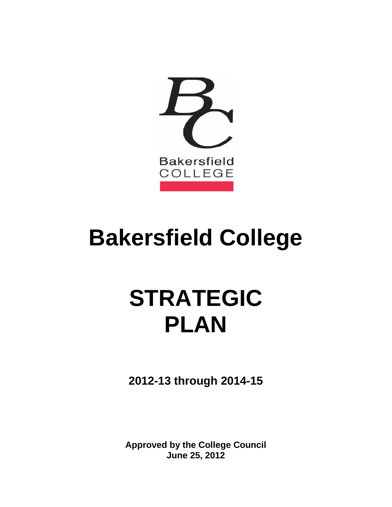

# **Bakersfield College**

# **STRATEGIC PLAN**

**2012-13 through 2014-15**

 **June 25, 2012 Approved by the College Council**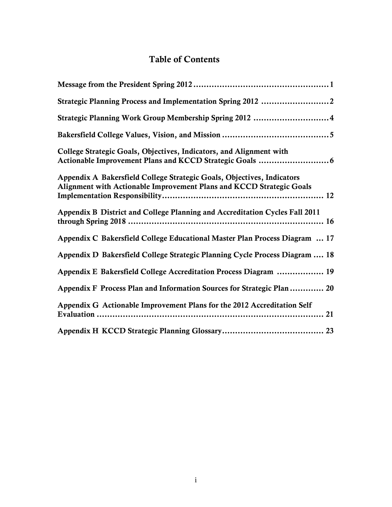# Table of Contents

| Strategic Planning Work Group Membership Spring 2012  4                                                                                        |
|------------------------------------------------------------------------------------------------------------------------------------------------|
|                                                                                                                                                |
| College Strategic Goals, Objectives, Indicators, and Alignment with                                                                            |
| Appendix A Bakersfield College Strategic Goals, Objectives, Indicators<br>Alignment with Actionable Improvement Plans and KCCD Strategic Goals |
| Appendix B District and College Planning and Accreditation Cycles Fall 2011                                                                    |
| Appendix C Bakersfield College Educational Master Plan Process Diagram  17                                                                     |
| Appendix D Bakersfield College Strategic Planning Cycle Process Diagram  18                                                                    |
| Appendix E Bakersfield College Accreditation Process Diagram  19                                                                               |
| Appendix F Process Plan and Information Sources for Strategic Plan  20                                                                         |
| Appendix G Actionable Improvement Plans for the 2012 Accreditation Self                                                                        |
|                                                                                                                                                |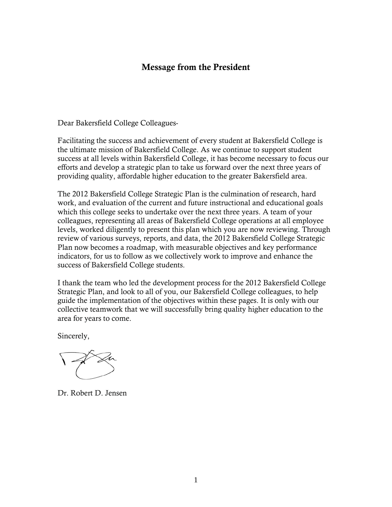# Message from the President

<span id="page-2-0"></span>Dear Bakersfield College Colleagues-

 Facilitating the success and achievement of every student at Bakersfield College is the ultimate mission of Bakersfield College. As we continue to support student success at all levels within Bakersfield College, it has become necessary to focus our efforts and develop a strategic plan to take us forward over the next three years of providing quality, affordable higher education to the greater Bakersfield area.

 which this college seeks to undertake over the next three years. A team of your levels, worked diligently to present this plan which you are now reviewing. Through The 2012 Bakersfield College Strategic Plan is the culmination of research, hard work, and evaluation of the current and future instructional and educational goals colleagues, representing all areas of Bakersfield College operations at all employee review of various surveys, reports, and data, the 2012 Bakersfield College Strategic Plan now becomes a roadmap, with measurable objectives and key performance indicators, for us to follow as we collectively work to improve and enhance the success of Bakersfield College students.

I thank the team who led the development process for the 2012 Bakersfield College Strategic Plan, and look to all of you, our Bakersfield College colleagues, to help guide the implementation of the objectives within these pages. It is only with our collective teamwork that we will successfully bring quality higher education to the area for years to come.

Sincerely,

Dr. Robert D. Jensen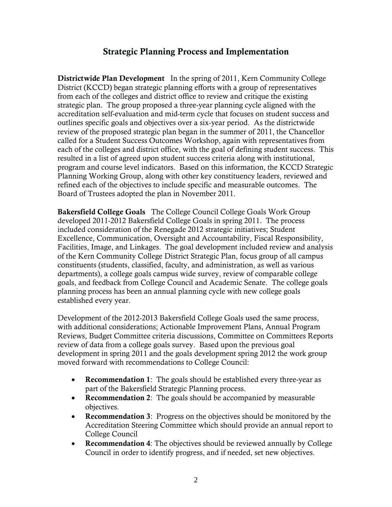# Strategic Planning Process and Implementation

<span id="page-3-0"></span>Districtwide Plan Development In the spring of 2011, Kern Community College District (KCCD) began strategic planning efforts with a group of representatives from each of the colleges and district office to review and critique the existing strategic plan. The group proposed a three-year planning cycle aligned with the outlines specific goals and objectives over a six-year period. As the districtwide review of the proposed strategic plan began in the summer of 2011, the Chancellor each of the colleges and district office, with the goal of defining student success. This refined each of the objectives to include specific and measurable outcomes. The accreditation self-evaluation and mid-term cycle that focuses on student success and called for a Student Success Outcomes Workshop, again with representatives from resulted in a list of agreed upon student success criteria along with institutional, program and course level indicators. Based on this information, the KCCD Strategic Planning Working Group, along with other key constituency leaders, reviewed and Board of Trustees adopted the plan in November 2011.

Bakersfield College Goals The College Council College Goals Work Group developed 2011-2012 Bakersfield College Goals in spring 2011. The process constituents (students, classified, faculty, and administration, as well as various established every year. included consideration of the Renegade 2012 strategic initiatives; Student Excellence, Communication, Oversight and Accountability, Fiscal Responsibility, Facilities, Image, and Linkages. The goal development included review and analysis of the Kern Community College District Strategic Plan, focus group of all campus departments), a college goals campus wide survey, review of comparable college goals, and feedback from College Council and Academic Senate. The college goals planning process has been an annual planning cycle with new college goals

 review of data from a college goals survey. Based upon the previous goal development in spring 2011 and the goals development spring 2012 the work group Development of the 2012-2013 Bakersfield College Goals used the same process, with additional considerations; Actionable Improvement Plans, Annual Program Reviews, Budget Committee criteria discussions, Committee on Committees Reports moved forward with recommendations to College Council:

- Recommendation 1: The goals should be established every three-year as part of the Bakersfield Strategic Planning process.
- Recommendation 2: The goals should be accompanied by measurable objectives.
- Recommendation 3: Progress on the objectives should be monitored by the Accreditation Steering Committee which should provide an annual report to College Council
- Recommendation 4: The objectives should be reviewed annually by College Council in order to identify progress, and if needed, set new objectives.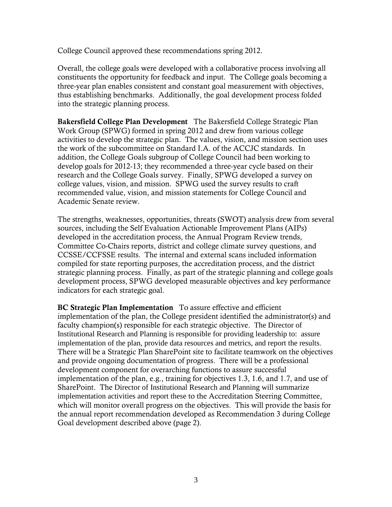College Council approved these recommendations spring 2012.

 constituents the opportunity for feedback and input. The College goals becoming a three-year plan enables consistent and constant goal measurement with objectives, into the strategic planning process. Coverall, the college goals were developed with a collaborative process involving all thus establishing benchmarks. Additionally, the goal development process folded

Bakersfield College Plan Development The Bakersfield College Strategic Plan activities to develop the strategic plan. The values, vision, and mission section uses the work of the subcommittee on Standard I.A. of the ACCJC standards. In addition, the College Goals subgroup of College Council had been working to develop goals for 2012-13; they recommended a three-year cycle based on their Academic Senate review. Work Group (SPWG) formed in spring 2012 and drew from various college research and the College Goals survey. Finally, SPWG developed a survey on college values, vision, and mission. SPWG used the survey results to craft recommended value, vision, and mission statements for College Council and

Academic Senate review.<br>The strengths, weaknesses, opportunities, threats (SWOT) analysis drew from several developed in the accreditation process, the Annual Program Review trends, sources, including the Self Evaluation Actionable Improvement Plans (AIPs) Committee Co-Chairs reports, district and college climate survey questions, and CCSSE/CCFSSE results. The internal and external scans included information compiled for state reporting purposes, the accreditation process, and the district strategic planning process. Finally, as part of the strategic planning and college goals development process, SPWG developed measurable objectives and key performance indicators for each strategic goal.

BC Strategic Plan Implementation To assure effective and efficient faculty champion(s) responsible for each strategic objective. The Director of There will be a Strategic Plan SharePoint site to facilitate teamwork on the objectives development component for overarching functions to assure successful implementation of the plan, e.g., training for objectives 1.3, 1.6, and 1.7, and use of SharePoint. The Director of Institutional Research and Planning will summarize implementation of the plan, the College president identified the administrator(s) and Institutional Research and Planning is responsible for providing leadership to: assure implementation of the plan, provide data resources and metrics, and report the results. and provide ongoing documentation of progress. There will be a professional implementation activities and report these to the Accreditation Steering Committee, which will monitor overall progress on the objectives. This will provide the basis for the annual report recommendation developed as Recommendation 3 during College Goal development described above (page 2).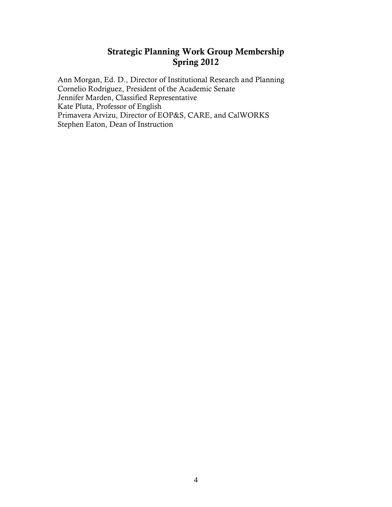# Strategic Planning Work Group Membership Spring 2012

<span id="page-5-0"></span>Ann Morgan, Ed. D., Director of Institutional Research and Planning Cornelio Rodriguez, President of the Academic Senate Jennifer Marden, Classified Representative Kate Pluta, Professor of English Primavera Arvizu, Director of EOP&S, CARE, and CalWORKS Stephen Eaton, Dean of Instruction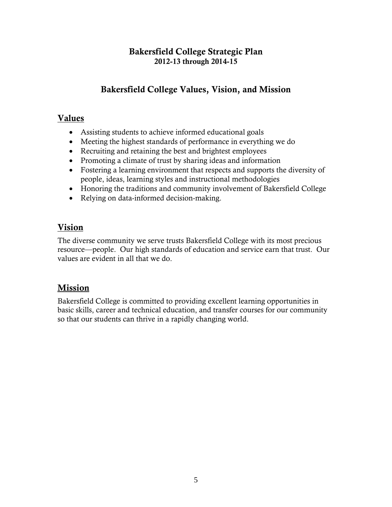# Bakersfield College Strategic Plan 2012-13 through 2014-15

# Bakersfield College Values, Vision, and Mission

# <span id="page-6-0"></span>Values

- Assisting students to achieve informed educational goals
- Meeting the highest standards of performance in everything we do
- Recruiting and retaining the best and brightest employees
- Promoting a climate of trust by sharing ideas and information
- Fostering a learning environment that respects and supports the diversity of people, ideas, learning styles and instructional methodologies
- Honoring the traditions and community involvement of Bakersfield College
- Relying on data-informed decision-making.

# Vision

 values are evident in all that we do. The diverse community we serve trusts Bakersfield College with its most precious resource—people. Our high standards of education and service earn that trust. Our

# Mission

Bakersfield College is committed to providing excellent learning opportunities in basic skills, career and technical education, and transfer courses for our community so that our students can thrive in a rapidly changing world.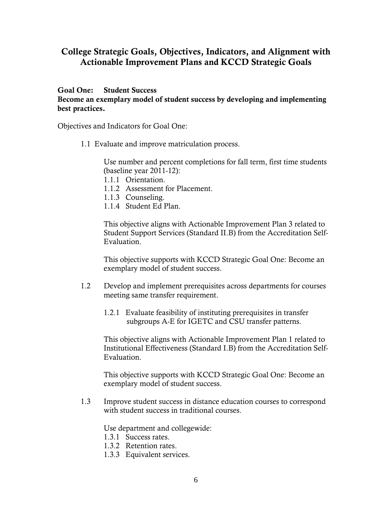# <span id="page-7-0"></span> College Strategic Goals, Objectives, Indicators, and Alignment with Actionable Improvement Plans and KCCD Strategic Goals

### **Student Success**

Goal One: Student Success<br>Become an exemplary model of student success by developing and implementing best practices.

Objectives and Indicators for Goal One:

1.1 Evaluate and improve matriculation process.

Use number and percent completions for fall term, first time students (baseline year 2011-12):

- 1.1.1 Orientation.
- 1.1.2 Assessment for Placement.
- 1.1.3 Counseling.
- 1.1.4 Student Ed Plan.

Evaluation. This objective aligns with Actionable Improvement Plan 3 related to Student Support Services (Standard II.B) from the Accreditation Self-

This objective supports with KCCD Strategic Goal One: Become an exemplary model of student success.

- 1.2 Develop and implement prerequisites across departments for courses meeting same transfer requirement.
	- 1.2.1 Evaluate feasibility of instituting prerequisites in transfer subgroups A-E for IGETC and CSU transfer patterns.

 Institutional Effectiveness (Standard I.B) from the Accreditation Self-Evaluation This objective aligns with Actionable Improvement Plan 1 related to

This objective supports with KCCD Strategic Goal One: Become an exemplary model of student success.

1.3 Improve student success in distance education courses to correspond with student success in traditional courses.

Use department and collegewide:

- 1.3.1 Success rates.
- 1.3.2 Retention rates.
- 1.3.3 Equivalent services.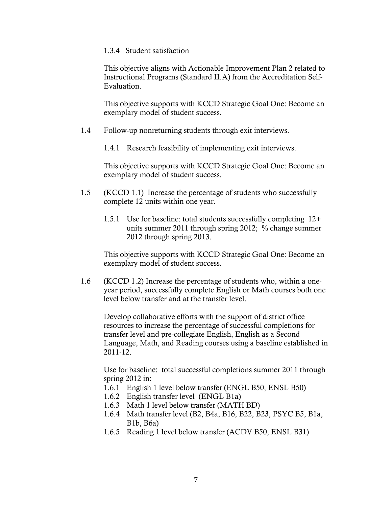#### 1.3.4 Student satisfaction

This objective aligns with Actionable Improvement Plan 2 related to Instructional Programs (Standard II.A) from the Accreditation Self-Evaluation.

This objective supports with KCCD Strategic Goal One: Become an exemplary model of student success.

1.4 Follow-up nonreturning students through exit interviews.

1.4.1 Research feasibility of implementing exit interviews.

This objective supports with KCCD Strategic Goal One: Become an exemplary model of student success.

- 1.5 (KCCD 1.1) Increase the percentage of students who successfully complete 12 units within one year.
	- units summer 2011 through spring 2012; % change summer 1.5.1 Use for baseline: total students successfully completing  $12+$ 2012 through spring 2013.

This objective supports with KCCD Strategic Goal One: Become an exemplary model of student success.

1.6 (KCCD 1.2) Increase the percentage of students who, within a oneyear period, successfully complete English or Math courses both one level below transfer and at the transfer level.

 transfer level and pre-collegiate English, English as a Second Develop collaborative efforts with the support of district office resources to increase the percentage of successful completions for Language, Math, and Reading courses using a baseline established in 2011-12.

 spring 2012 in: Use for baseline: total successful completions summer 2011 through

- 1.6.1 English 1 level below transfer (ENGL B50, ENSL B50)
- 1.6.2 English transfer level (ENGL B1a)
- 1.6.3 Math 1 level below transfer (MATH BD)
- 1.6.4 Math transfer level (B2, B4a, B16, B22, B23, PSYC B5, B1a, B1b, B6a)
- 1.6.5 Reading 1 level below transfer (ACDV B50, ENSL B31)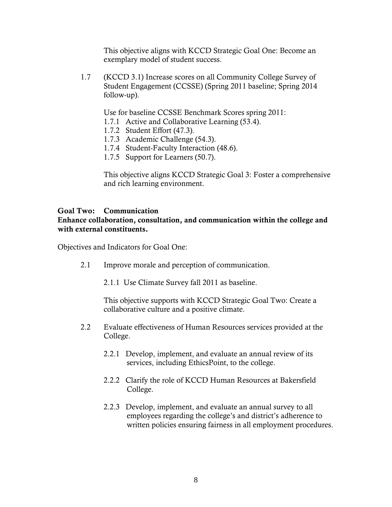This objective aligns with KCCD Strategic Goal One: Become an exemplary model of student success.

1.7 (KCCD 3.1) Increase scores on all Community College Survey of Student Engagement (CCSSE) (Spring 2011 baseline; Spring 2014 follow-up).

Use for baseline CCSSE Benchmark Scores spring 2011:

- 1.7.1 Active and Collaborative Learning (53.4).
- 1.7.2 Student Effort (47.3).
- 1.7.3 Academic Challenge (54.3).
- 1.7.4 Student-Faculty Interaction (48.6).
- 1.7.5 Support for Learners (50.7).

 This objective aligns KCCD Strategic Goal 3: Foster a comprehensive and rich learning environment.

### Goal Two: Communication

 Enhance collaboration, consultation, and communication within the college and with external constituents.

Objectives and Indicators for Goal One:

- 2.1 Improve morale and perception of communication.
	- 2.1.1 Use Climate Survey fall 2011 as baseline.

 This objective supports with KCCD Strategic Goal Two: Create a collaborative culture and a positive climate.

- 2.2 Evaluate effectiveness of Human Resources services provided at the College.
	- 2.2.1 Develop, implement, and evaluate an annual review of its services, including EthicsPoint, to the college.
	- 2.2.2 Clarify the role of KCCD Human Resources at Bakersfield College.
	- 2.2.3 Develop, implement, and evaluate an annual survey to all employees regarding the college's and district's adherence to written policies ensuring fairness in all employment procedures.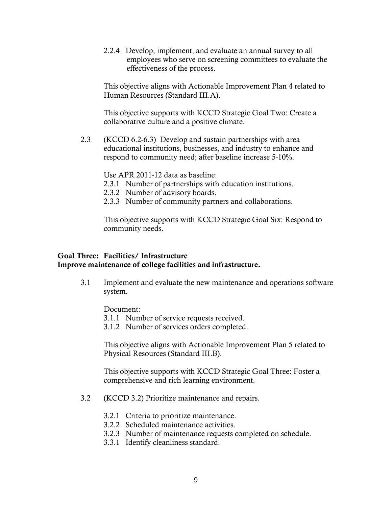employees who serve on screening committees to evaluate the 2.2.4 Develop, implement, and evaluate an annual survey to all effectiveness of the process.

This objective aligns with Actionable Improvement Plan 4 related to Human Resources (Standard III.A).

 This objective supports with KCCD Strategic Goal Two: Create a collaborative culture and a positive climate.

 respond to community need; after baseline increase 5-10%. Use APR 2011-12 data as baseline: 2.3 (KCCD 6.2-6.3) Develop and sustain partnerships with area educational institutions, businesses, and industry to enhance and

- 2.3.1 Number of partnerships with education institutions.
- 2.3.2 Number of advisory boards.
- 2.3.3 Number of community partners and collaborations.

 This objective supports with KCCD Strategic Goal Six: Respond to community needs.

## Goal Three: Facilities/ Infrastructure Improve maintenance of college facilities and infrastructure.

 3.1 Implement and evaluate the new maintenance and operations software system.

Document:

- 3.1.1 Number of service requests received.
- 3.1.2 Number of services orders completed.

This objective aligns with Actionable Improvement Plan 5 related to Physical Resources (Standard III.B).

 This objective supports with KCCD Strategic Goal Three: Foster a comprehensive and rich learning environment.

- 3.2 (KCCD 3.2) Prioritize maintenance and repairs.
	- 3.2.1 Criteria to prioritize maintenance.
	- 3.2.2 Scheduled maintenance activities.
	- 3.2.3 Number of maintenance requests completed on schedule.
	- 3.3.1 Identify cleanliness standard.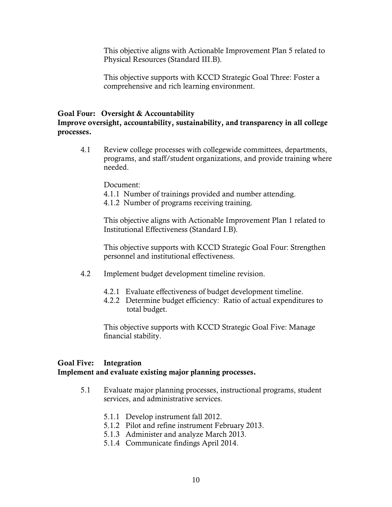This objective aligns with Actionable Improvement Plan 5 related to Physical Resources (Standard III.B).

This objective supports with KCCD Strategic Goal Three: Foster a comprehensive and rich learning environment.

#### Goal Four: Oversight & Accountability

 Improve oversight, accountability, sustainability, and transparency in all college processes.

4.1 Review college processes with collegewide committees, departments, programs, and staff/student organizations, and provide training where needed.

Document:

- 4.1.1 Number of trainings provided and number attending.
- 4.1.2 Number of programs receiving training.

 Institutional Effectiveness (Standard I.B). This objective aligns with Actionable Improvement Plan 1 related to

 This objective supports with KCCD Strategic Goal Four: Strengthen personnel and institutional effectiveness.

- 4.2 Implement budget development timeline revision.
	- 4.2.1 Evaluate effectiveness of budget development timeline.
	- 4.2.2 Determine budget efficiency: Ratio of actual expenditures to total budget.

 This objective supports with KCCD Strategic Goal Five: Manage financial stability.

## Implement and evaluate existing major planning processes. Goal Five: Integration

- 5.1 Evaluate major planning processes, instructional programs, student services, and administrative services.
	- 5.1.1 Develop instrument fall 2012.
	- 5.1.2 Pilot and refine instrument February 2013.
	- 5.1.3 Administer and analyze March 2013.
	- 5.1.4 Communicate findings April 2014.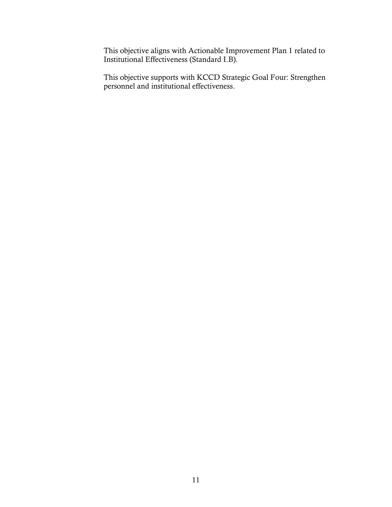This objective aligns with Actionable Improvement Plan 1 related to Institutional Effectiveness (Standard I.B).

 This objective supports with KCCD Strategic Goal Four: Strengthen personnel and institutional effectiveness.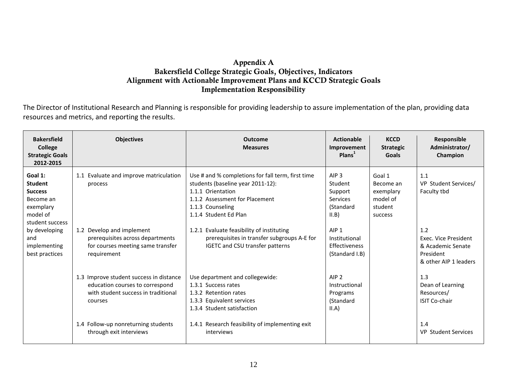# Alignment with Actionable Improvement Plans and KCCD Strategic Goals Appendix A Bakersfield College Strategic Goals, Objectives, Indicators Implementation Responsibility

 resources and metrics, and reporting the results. The Director of Institutional Research and Planning is responsible for providing leadership to assure implementation of the plan, providing data

<span id="page-13-2"></span><span id="page-13-1"></span><span id="page-13-0"></span>

| <b>Bakersfield</b><br><b>College</b><br><b>Strategic Goals</b><br>2012-2015                          | <b>Objectives</b>                                                                                                            | <b>Outcome</b><br><b>Measures</b>                                                                                                                                                          | <b>Actionable</b><br>Improvement<br>Plan <sup>1</sup>                           | <b>KCCD</b><br><b>Strategic</b><br><b>Goals</b>                    | Responsible<br>Administrator/<br>Champion                                              |
|------------------------------------------------------------------------------------------------------|------------------------------------------------------------------------------------------------------------------------------|--------------------------------------------------------------------------------------------------------------------------------------------------------------------------------------------|---------------------------------------------------------------------------------|--------------------------------------------------------------------|----------------------------------------------------------------------------------------|
| Goal 1:<br><b>Student</b><br><b>Success</b><br>Become an<br>exemplary<br>model of<br>student success | 1.1 Evaluate and improve matriculation<br>process                                                                            | Use # and % completions for fall term, first time<br>students (baseline year 2011-12):<br>1.1.1 Orientation<br>1.1.2 Assessment for Placement<br>1.1.3 Counseling<br>1.1.4 Student Ed Plan | AIP <sub>3</sub><br>Student<br>Support<br><b>Services</b><br>(Standard<br>II.B) | Goal 1<br>Become an<br>exemplary<br>model of<br>student<br>success | 1.1<br>VP Student Services/<br>Faculty tbd                                             |
| by developing<br>and<br>implementing<br>best practices                                               | 1.2 Develop and implement<br>prerequisites across departments<br>for courses meeting same transfer<br>requirement            | 1.2.1 Evaluate feasibility of instituting<br>prerequisites in transfer subgroups A-E for<br>IGETC and CSU transfer patterns                                                                | AIP <sub>1</sub><br>Institutional<br><b>Effectiveness</b><br>(Standard I.B)     |                                                                    | 1.2<br>Exec. Vice President<br>& Academic Senate<br>President<br>& other AIP 1 leaders |
|                                                                                                      | 1.3 Improve student success in distance<br>education courses to correspond<br>with student success in traditional<br>courses | Use department and collegewide:<br>1.3.1 Success rates<br>1.3.2 Retention rates<br>1.3.3 Equivalent services<br>1.3.4 Student satisfaction                                                 | AIP <sub>2</sub><br>Instructional<br>Programs<br>(Standard<br>II.A)             |                                                                    | 1.3<br>Dean of Learning<br>Resources/<br><b>ISIT Co-chair</b>                          |
|                                                                                                      | 1.4 Follow-up nonreturning students<br>through exit interviews                                                               | 1.4.1 Research feasibility of implementing exit<br>interviews                                                                                                                              |                                                                                 |                                                                    | 1.4<br><b>VP Student Services</b>                                                      |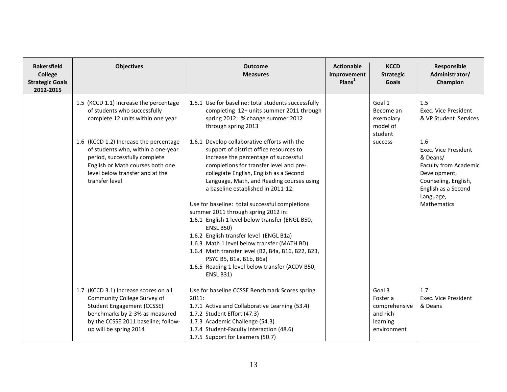| <b>Bakersfield</b><br><b>College</b><br><b>Strategic Goals</b><br>2012-2015 | <b>Objectives</b>                                                                                                                                                                                                                                                                                                     | <b>Outcome</b><br><b>Measures</b>                                                                                                                                                                                                                                                                                                                                                                                                                                                                                                                                                                                                                                                                                                                                                                                                                                      | <b>Actionable</b><br>Improvement<br>PlanS <sup>1</sup> | <b>KCCD</b><br><b>Strategic</b><br>Goals                                   | Responsible<br>Administrator/<br>Champion                                                                                                                                                                                         |
|-----------------------------------------------------------------------------|-----------------------------------------------------------------------------------------------------------------------------------------------------------------------------------------------------------------------------------------------------------------------------------------------------------------------|------------------------------------------------------------------------------------------------------------------------------------------------------------------------------------------------------------------------------------------------------------------------------------------------------------------------------------------------------------------------------------------------------------------------------------------------------------------------------------------------------------------------------------------------------------------------------------------------------------------------------------------------------------------------------------------------------------------------------------------------------------------------------------------------------------------------------------------------------------------------|--------------------------------------------------------|----------------------------------------------------------------------------|-----------------------------------------------------------------------------------------------------------------------------------------------------------------------------------------------------------------------------------|
|                                                                             | 1.5 (KCCD 1.1) Increase the percentage<br>of students who successfully<br>complete 12 units within one year<br>1.6 (KCCD 1.2) Increase the percentage<br>of students who, within a one-year<br>period, successfully complete<br>English or Math courses both one<br>level below transfer and at the<br>transfer level | 1.5.1 Use for baseline: total students successfully<br>completing 12+ units summer 2011 through<br>spring 2012; % change summer 2012<br>through spring 2013<br>1.6.1 Develop collaborative efforts with the<br>support of district office resources to<br>increase the percentage of successful<br>completions for transfer level and pre-<br>collegiate English, English as a Second<br>Language, Math, and Reading courses using<br>a baseline established in 2011-12.<br>Use for baseline: total successful completions<br>summer 2011 through spring 2012 in:<br>1.6.1 English 1 level below transfer (ENGL B50,<br><b>ENSL B50)</b><br>1.6.2 English transfer level (ENGL B1a)<br>1.6.3 Math 1 level below transfer (MATH BD)<br>1.6.4 Math transfer level (B2, B4a, B16, B22, B23,<br>PSYC B5, B1a, B1b, B6a)<br>1.6.5 Reading 1 level below transfer (ACDV B50, |                                                        | Goal 1<br>Become an<br>exemplary<br>model of<br>student<br>success         | 1.5<br>Exec. Vice President<br>& VP Student Services<br>1.6<br>Exec. Vice President<br>& Deans/<br><b>Faculty from Academic</b><br>Development,<br>Counseling, English,<br>English as a Second<br>Language,<br><b>Mathematics</b> |
|                                                                             | 1.7 (KCCD 3.1) Increase scores on all<br>Community College Survey of<br>Student Engagement (CCSSE)<br>benchmarks by 2-3% as measured<br>by the CCSSE 2011 baseline; follow-<br>up will be spring 2014                                                                                                                 | <b>ENSL B31)</b><br>Use for baseline CCSSE Benchmark Scores spring<br>2011:<br>1.7.1 Active and Collaborative Learning (53.4)<br>1.7.2 Student Effort (47.3)<br>1.7.3 Academic Challenge (54.3)<br>1.7.4 Student-Faculty Interaction (48.6)<br>1.7.5 Support for Learners (50.7)                                                                                                                                                                                                                                                                                                                                                                                                                                                                                                                                                                                       |                                                        | Goal 3<br>Foster a<br>comprehensive<br>and rich<br>learning<br>environment | 1.7<br>Exec. Vice President<br>& Deans                                                                                                                                                                                            |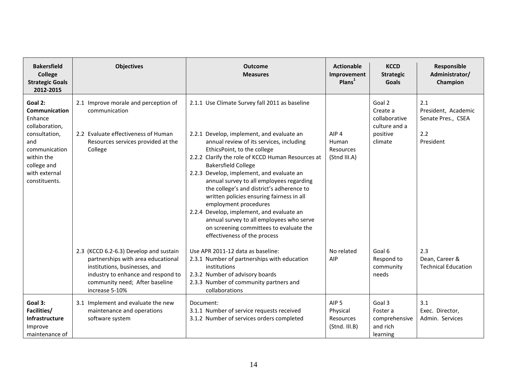| <b>Bakersfield</b><br><b>College</b><br><b>Strategic Goals</b><br>2012-2015                                                                                          | <b>Objectives</b>                                                                                                                                                                                       | <b>Outcome</b><br><b>Measures</b>                                                                                                                                                                                                                                                                                                                                                                                                                                                                                                                                                                                                         | <b>Actionable</b><br>Improvement<br>PlanS <sup>1</sup>     | <b>KCCD</b><br><b>Strategic</b><br><b>Goals</b>                             | Responsible<br>Administrator/<br>Champion                            |
|----------------------------------------------------------------------------------------------------------------------------------------------------------------------|---------------------------------------------------------------------------------------------------------------------------------------------------------------------------------------------------------|-------------------------------------------------------------------------------------------------------------------------------------------------------------------------------------------------------------------------------------------------------------------------------------------------------------------------------------------------------------------------------------------------------------------------------------------------------------------------------------------------------------------------------------------------------------------------------------------------------------------------------------------|------------------------------------------------------------|-----------------------------------------------------------------------------|----------------------------------------------------------------------|
| Goal 2:<br><b>Communication</b><br>Enhance<br>collaboration,<br>consultation,<br>and<br>communication<br>within the<br>college and<br>with external<br>constituents. | 2.1 Improve morale and perception of<br>communication<br>2.2 Evaluate effectiveness of Human<br>Resources services provided at the<br>College                                                           | 2.1.1 Use Climate Survey fall 2011 as baseline<br>2.2.1 Develop, implement, and evaluate an<br>annual review of its services, including<br>EthicsPoint, to the college<br>2.2.2 Clarify the role of KCCD Human Resources at<br><b>Bakersfield College</b><br>2.2.3 Develop, implement, and evaluate an<br>annual survey to all employees regarding<br>the college's and district's adherence to<br>written policies ensuring fairness in all<br>employment procedures<br>2.2.4 Develop, implement, and evaluate an<br>annual survey to all employees who serve<br>on screening committees to evaluate the<br>effectiveness of the process | AIP <sub>4</sub><br>Human<br>Resources<br>(Stnd III.A)     | Goal 2<br>Create a<br>collaborative<br>culture and a<br>positive<br>climate | 2.1<br>President, Academic<br>Senate Pres., CSEA<br>2.2<br>President |
|                                                                                                                                                                      | 2.3 (KCCD 6.2-6.3) Develop and sustain<br>partnerships with area educational<br>institutions, businesses, and<br>industry to enhance and respond to<br>community need; After baseline<br>increase 5-10% | Use APR 2011-12 data as baseline:<br>2.3.1 Number of partnerships with education<br>institutions<br>2.3.2 Number of advisory boards<br>2.3.3 Number of community partners and<br>collaborations                                                                                                                                                                                                                                                                                                                                                                                                                                           | No related<br>AIP                                          | Goal 6<br>Respond to<br>community<br>needs                                  | 2.3<br>Dean, Career &<br><b>Technical Education</b>                  |
| Goal 3:<br>Facilities/<br>Infrastructure<br>Improve<br>maintenance of                                                                                                | 3.1 Implement and evaluate the new<br>maintenance and operations<br>software system                                                                                                                     | Document:<br>3.1.1 Number of service requests received<br>3.1.2 Number of services orders completed                                                                                                                                                                                                                                                                                                                                                                                                                                                                                                                                       | AIP <sub>5</sub><br>Physical<br>Resources<br>(Stnd. III.B) | Goal 3<br>Foster a<br>comprehensive<br>and rich<br>learning                 | 3.1<br>Exec. Director,<br>Admin. Services                            |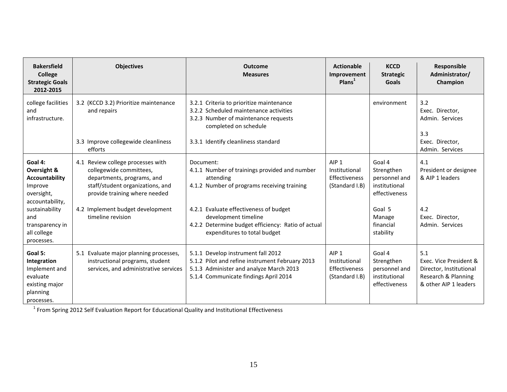| <b>Bakersfield</b><br>College<br><b>Strategic Goals</b><br>2012-2015                                                                                                 | <b>Objectives</b>                                                                                                                                                                                                        | <b>Outcome</b><br><b>Measures</b>                                                                                                                                                                                                                                              | <b>Actionable</b><br>Improvement<br>PlanS <sup>1</sup>               | <b>KCCD</b><br><b>Strategic</b><br><b>Goals</b>                                                                       | Responsible<br>Administrator/<br>Champion                                                                |
|----------------------------------------------------------------------------------------------------------------------------------------------------------------------|--------------------------------------------------------------------------------------------------------------------------------------------------------------------------------------------------------------------------|--------------------------------------------------------------------------------------------------------------------------------------------------------------------------------------------------------------------------------------------------------------------------------|----------------------------------------------------------------------|-----------------------------------------------------------------------------------------------------------------------|----------------------------------------------------------------------------------------------------------|
| college facilities<br>and<br>infrastructure.                                                                                                                         | 3.2 (KCCD 3.2) Prioritize maintenance<br>and repairs<br>3.3 Improve collegewide cleanliness<br>efforts                                                                                                                   | 3.2.1 Criteria to prioritize maintenance<br>3.2.2 Scheduled maintenance activities<br>3.2.3 Number of maintenance requests<br>completed on schedule<br>3.3.1 Identify cleanliness standard                                                                                     |                                                                      | environment                                                                                                           | 3.2<br>Exec. Director,<br>Admin. Services<br>3.3<br>Exec. Director,<br>Admin. Services                   |
| Goal 4:<br>Oversight &<br><b>Accountability</b><br>Improve<br>oversight,<br>accountability,<br>sustainability<br>and<br>transparency in<br>all college<br>processes. | 4.1 Review college processes with<br>collegewide committees,<br>departments, programs, and<br>staff/student organizations, and<br>provide training where needed<br>4.2 Implement budget development<br>timeline revision | Document:<br>4.1.1 Number of trainings provided and number<br>attending<br>4.1.2 Number of programs receiving training<br>4.2.1 Evaluate effectiveness of budget<br>development timeline<br>4.2.2 Determine budget efficiency: Ratio of actual<br>expenditures to total budget | AIP <sub>1</sub><br>Institutional<br>Effectiveness<br>(Standard I.B) | Goal 4<br>Strengthen<br>personnel and<br>institutional<br>effectiveness<br>Goal 5<br>Manage<br>financial<br>stability | 4.1<br>President or designee<br>& AIP 1 leaders<br>4.2<br>Exec. Director,<br>Admin. Services             |
| Goal 5:<br>Integration<br>Implement and<br>evaluate<br>existing major<br>planning<br>processes.                                                                      | 5.1 Evaluate major planning processes,<br>instructional programs, student<br>services, and administrative services                                                                                                       | 5.1.1 Develop instrument fall 2012<br>5.1.2 Pilot and refine instrument February 2013<br>5.1.3 Administer and analyze March 2013<br>5.1.4 Communicate findings April 2014                                                                                                      | AIP <sub>1</sub><br>Institutional<br>Effectiveness<br>(Standard I.B) | Goal 4<br>Strengthen<br>personnel and<br>institutional<br>effectiveness                                               | 5.1<br>Exec. Vice President &<br>Director, Institutional<br>Research & Planning<br>& other AIP 1 leaders |

1 From Spring 2012 Self Evaluation Report for Educational Quality and Institutional Effectiveness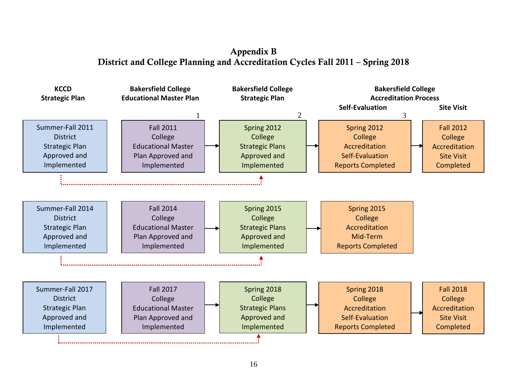# District and College Planning and Accreditation Cycles Fall 2011 – Spring 2018 Appendix B

<span id="page-17-1"></span><span id="page-17-0"></span>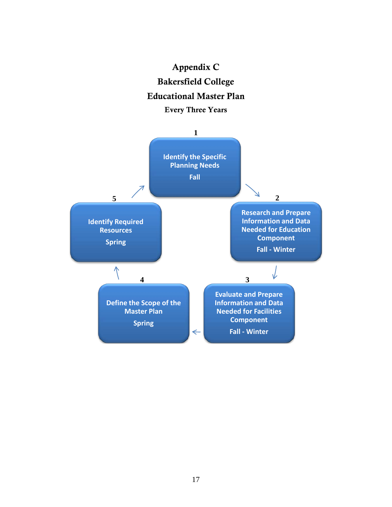

<span id="page-18-1"></span><span id="page-18-0"></span>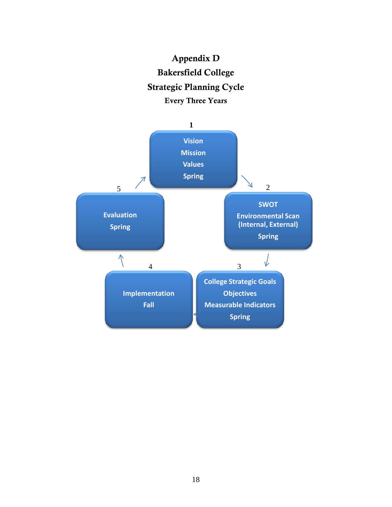<span id="page-19-1"></span><span id="page-19-0"></span>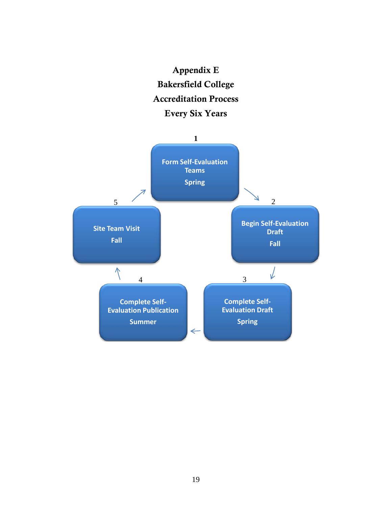

<span id="page-20-1"></span><span id="page-20-0"></span>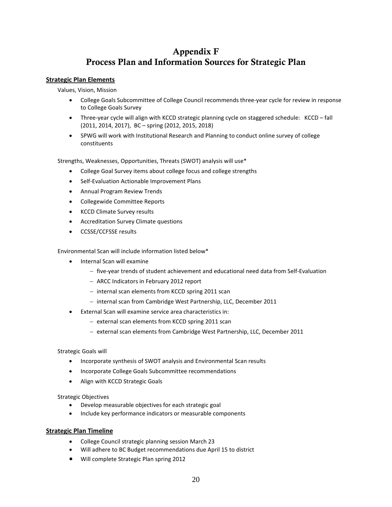# Process Plan and Information Sources for Strategic Plan Appendix F

#### <span id="page-21-1"></span><span id="page-21-0"></span>**Strategic Plan Elements**

Values, Vision, Mission

- College Goals Subcommittee of College Council recommends three-year cycle for review in response to College Goals Survey
- Three-year cycle will align with KCCD strategic planning cycle on staggered schedule: KCCD fall (2011, 2014, 2017), BC – spring (2012, 2015, 2018)
- • SPWG will work with Institutional Research and Planning to conduct online survey of college constituents

Strengths, Weaknesses, Opportunities, Threats (SWOT) analysis will use\*

- • College Goal Survey items about college focus and college strengths
- • Self-Evaluation Actionable Improvement Plans
- • Annual Program Review Trends
- • Collegewide Committee Reports
- • KCCD Climate Survey results
- • Accreditation Survey Climate questions
- • CCSSE/CCFSSE results

Environmental Scan will include information listed below\*

- • Internal Scan will examine
	- − five-year trends of student achievement and educational need data from Self-Evaluation
	- − ARCC Indicators in February 2012 report
	- − internal scan elements from KCCD spring 2011 scan
	- − internal scan from Cambridge West Partnership, LLC, December 2011
- • External Scan will examine service area characteristics in:
	- − external scan elements from KCCD spring 2011 scan
	- − external scan elements from Cambridge West Partnership, LLC, December 2011

#### Strategic Goals will

- Incorporate synthesis of SWOT analysis and Environmental Scan results
- • Incorporate College Goals Subcommittee recommendations
- • Align with KCCD Strategic Goals

#### Strategic Objectives

- • Develop measurable objectives for each strategic goal
- Include key performance indicators or measurable components

#### **Strategic Plan Timeline**

- College Council strategic planning session March 23
- • Will adhere to BC Budget recommendations due April 15 to district
- • Will complete Strategic Plan spring 2012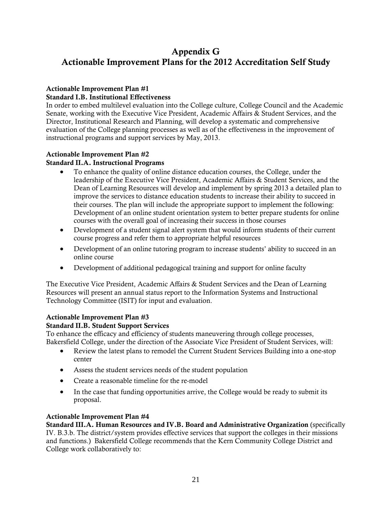# <span id="page-22-1"></span><span id="page-22-0"></span> Actionable Improvement Plans for the 2012 Accreditation Self Study Appendix G

## Actionable Improvement Plan #1

### Standard I.B. Institutional Effectiveness

In order to embed multilevel evaluation into the College culture, College Council and the Academic Senate, working with the Executive Vice President, Academic Affairs & Student Services, and the Director, Institutional Research and Planning, will develop a systematic and comprehensive evaluation of the College planning processes as well as of the effectiveness in the improvement of instructional programs and support services by May, 2013.

## Actionable Improvement Plan #2

### Standard II.A. Instructional Programs

- their courses. The plan will include the appropriate support to implement the following: • To enhance the quality of online distance education courses, the College, under the leadership of the Executive Vice President, Academic Affairs & Student Services, and the Dean of Learning Resources will develop and implement by spring 2013 a detailed plan to improve the services to distance education students to increase their ability to succeed in Development of an online student orientation system to better prepare students for online courses with the overall goal of increasing their success in those courses
- Development of a student signal alert system that would inform students of their current course progress and refer them to appropriate helpful resources
- Development of an online tutoring program to increase students' ability to succeed in an online course
- Development of additional pedagogical training and support for online faculty

The Executive Vice President, Academic Affairs & Student Services and the Dean of Learning Resources will present an annual status report to the Information Systems and Instructional Technology Committee (ISIT) for input and evaluation.

#### Actionable Improvement Plan #3

#### Standard II.B. Student Support Services

To enhance the efficacy and efficiency of students maneuvering through college processes, Bakersfield College, under the direction of the Associate Vice President of Student Services, will:

- Review the latest plans to remodel the Current Student Services Building into a one-stop center
- Assess the student services needs of the student population
- Create a reasonable timeline for the re-model
- In the case that funding opportunities arrive, the College would be ready to submit its proposal.

#### Actionable Improvement Plan #4

 IV. B.3.b. The district/system provides effective services that support the colleges in their missions Standard III.A. Human Resources and IV.B. Board and Administrative Organization (specifically and functions.) Bakersfield College recommends that the Kern Community College District and College work collaboratively to: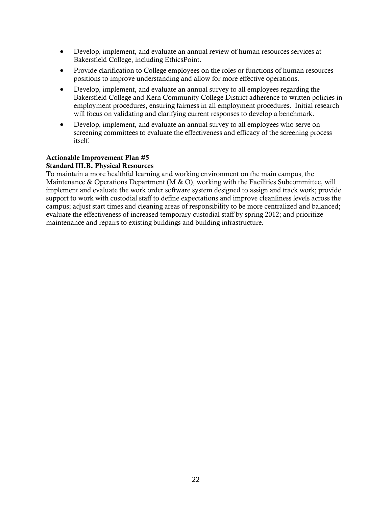- • Develop, implement, and evaluate an annual review of human resources services at Bakersfield College, including EthicsPoint.
- positions to improve understanding and allow for more effective operations. • Provide clarification to College employees on the roles or functions of human resources
- will focus on validating and clarifying current responses to develop a benchmark. • Develop, implement, and evaluate an annual survey to all employees regarding the Bakersfield College and Kern Community College District adherence to written policies in employment procedures, ensuring fairness in all employment procedures. Initial research
- itself. • Develop, implement, and evaluate an annual survey to all employees who serve on screening committees to evaluate the effectiveness and efficacy of the screening process

#### Actionable Improvement Plan #5

#### Standard III.B. Physical Resources

To maintain a more healthful learning and working environment on the main campus, the Maintenance & Operations Department (M & O), working with the Facilities Subcommittee, will implement and evaluate the work order software system designed to assign and track work; provide support to work with custodial staff to define expectations and improve cleanliness levels across the campus; adjust start times and cleaning areas of responsibility to be more centralized and balanced; evaluate the effectiveness of increased temporary custodial staff by spring 2012; and prioritize maintenance and repairs to existing buildings and building infrastructure.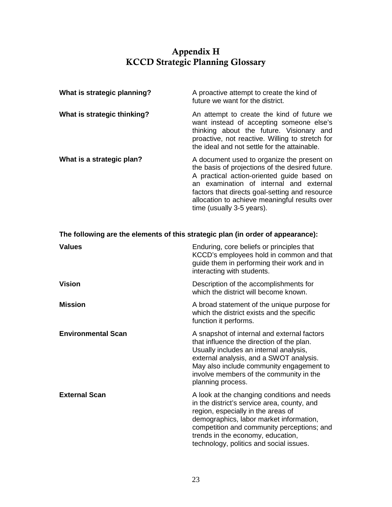# Appendix H KCCD Strategic Planning Glossary

<span id="page-24-1"></span><span id="page-24-0"></span>

| What is strategic planning? | A proactive attempt to create the kind of<br>future we want for the district.                                                                                                                                                                                                                                          |
|-----------------------------|------------------------------------------------------------------------------------------------------------------------------------------------------------------------------------------------------------------------------------------------------------------------------------------------------------------------|
| What is strategic thinking? | An attempt to create the kind of future we<br>want instead of accepting someone else's<br>thinking about the future. Visionary and<br>proactive, not reactive. Willing to stretch for<br>the ideal and not settle for the attainable.                                                                                  |
| What is a strategic plan?   | A document used to organize the present on<br>the basis of projections of the desired future.<br>A practical action-oriented guide based on<br>an examination of internal and external<br>factors that directs goal-setting and resource<br>allocation to achieve meaningful results over<br>time (usually 3-5 years). |

| The following are the elements of this strategic plan (in order of appearance): |                                                                                                                                                                                                                                                                                                           |  |
|---------------------------------------------------------------------------------|-----------------------------------------------------------------------------------------------------------------------------------------------------------------------------------------------------------------------------------------------------------------------------------------------------------|--|
| <b>Values</b>                                                                   | Enduring, core beliefs or principles that<br>KCCD's employees hold in common and that<br>guide them in performing their work and in<br>interacting with students.                                                                                                                                         |  |
| <b>Vision</b>                                                                   | Description of the accomplishments for<br>which the district will become known.                                                                                                                                                                                                                           |  |
| <b>Mission</b>                                                                  | A broad statement of the unique purpose for<br>which the district exists and the specific<br>function it performs.                                                                                                                                                                                        |  |
| <b>Environmental Scan</b>                                                       | A snapshot of internal and external factors<br>that influence the direction of the plan.<br>Usually includes an internal analysis,<br>external analysis, and a SWOT analysis.<br>May also include community engagement to<br>involve members of the community in the<br>planning process.                 |  |
| <b>External Scan</b>                                                            | A look at the changing conditions and needs<br>in the district's service area, county, and<br>region, especially in the areas of<br>demographics, labor market information,<br>competition and community perceptions; and<br>trends in the economy, education,<br>technology, politics and social issues. |  |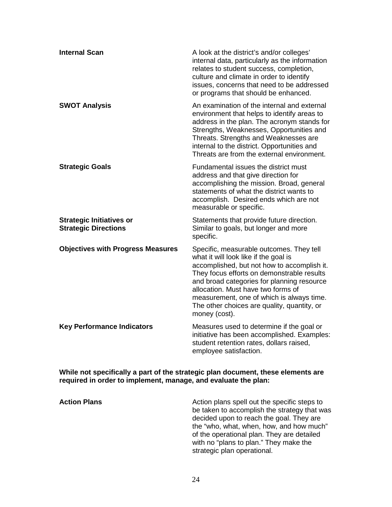| <b>Internal Scan</b>                                           | A look at the district's and/or colleges'<br>internal data, particularly as the information<br>relates to student success, completion,<br>culture and climate in order to identify<br>issues, concerns that need to be addressed<br>or programs that should be enhanced.                                                                                                        |
|----------------------------------------------------------------|---------------------------------------------------------------------------------------------------------------------------------------------------------------------------------------------------------------------------------------------------------------------------------------------------------------------------------------------------------------------------------|
| <b>SWOT Analysis</b>                                           | An examination of the internal and external<br>environment that helps to identify areas to<br>address in the plan. The acronym stands for<br>Strengths, Weaknesses, Opportunities and<br>Threats. Strengths and Weaknesses are<br>internal to the district. Opportunities and<br>Threats are from the external environment.                                                     |
| <b>Strategic Goals</b>                                         | Fundamental issues the district must<br>address and that give direction for<br>accomplishing the mission. Broad, general<br>statements of what the district wants to<br>accomplish. Desired ends which are not<br>measurable or specific.                                                                                                                                       |
| <b>Strategic Initiatives or</b><br><b>Strategic Directions</b> | Statements that provide future direction.<br>Similar to goals, but longer and more<br>specific.                                                                                                                                                                                                                                                                                 |
| <b>Objectives with Progress Measures</b>                       | Specific, measurable outcomes. They tell<br>what it will look like if the goal is<br>accomplished, but not how to accomplish it.<br>They focus efforts on demonstrable results<br>and broad categories for planning resource<br>allocation. Must have two forms of<br>measurement, one of which is always time.<br>The other choices are quality, quantity, or<br>money (cost). |
| <b>Key Performance Indicators</b>                              | Measures used to determine if the goal or<br>initiative has been accomplished. Examples:<br>student retention rates, dollars raised,<br>employee satisfaction.                                                                                                                                                                                                                  |

**While not specifically a part of the strategic plan document, these elements are required in order to implement, manage, and evaluate the plan:** 

**Action Plans Action plans spell out the specific steps to**  $\alpha$ be taken to accomplish the strategy that was decided upon to reach the goal. They are the "who, what, when, how, and how much" of the operational plan. They are detailed with no "plans to plan." They make the strategic plan operational.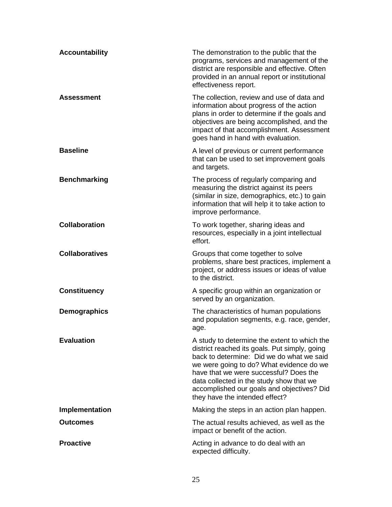| <b>Accountability</b> | The demonstration to the public that the<br>programs, services and management of the<br>district are responsible and effective. Often<br>provided in an annual report or institutional<br>effectiveness report.                                                                                                                                              |
|-----------------------|--------------------------------------------------------------------------------------------------------------------------------------------------------------------------------------------------------------------------------------------------------------------------------------------------------------------------------------------------------------|
| <b>Assessment</b>     | The collection, review and use of data and<br>information about progress of the action<br>plans in order to determine if the goals and<br>objectives are being accomplished, and the<br>impact of that accomplishment. Assessment<br>goes hand in hand with evaluation.                                                                                      |
| <b>Baseline</b>       | A level of previous or current performance<br>that can be used to set improvement goals<br>and targets.                                                                                                                                                                                                                                                      |
| <b>Benchmarking</b>   | The process of regularly comparing and<br>measuring the district against its peers<br>(similar in size, demographics, etc.) to gain<br>information that will help it to take action to<br>improve performance.                                                                                                                                               |
| <b>Collaboration</b>  | To work together, sharing ideas and<br>resources, especially in a joint intellectual<br>effort.                                                                                                                                                                                                                                                              |
| <b>Collaboratives</b> | Groups that come together to solve<br>problems, share best practices, implement a<br>project, or address issues or ideas of value<br>to the district.                                                                                                                                                                                                        |
| <b>Constituency</b>   | A specific group within an organization or<br>served by an organization.                                                                                                                                                                                                                                                                                     |
| <b>Demographics</b>   | The characteristics of human populations<br>and population segments, e.g. race, gender,<br>age.                                                                                                                                                                                                                                                              |
| <b>Evaluation</b>     | A study to determine the extent to which the<br>district reached its goals. Put simply, going<br>back to determine: Did we do what we said<br>we were going to do? What evidence do we<br>have that we were successful? Does the<br>data collected in the study show that we<br>accomplished our goals and objectives? Did<br>they have the intended effect? |
| Implementation        | Making the steps in an action plan happen.                                                                                                                                                                                                                                                                                                                   |
| <b>Outcomes</b>       | The actual results achieved, as well as the<br>impact or benefit of the action.                                                                                                                                                                                                                                                                              |
| <b>Proactive</b>      | Acting in advance to do deal with an<br>expected difficulty.                                                                                                                                                                                                                                                                                                 |